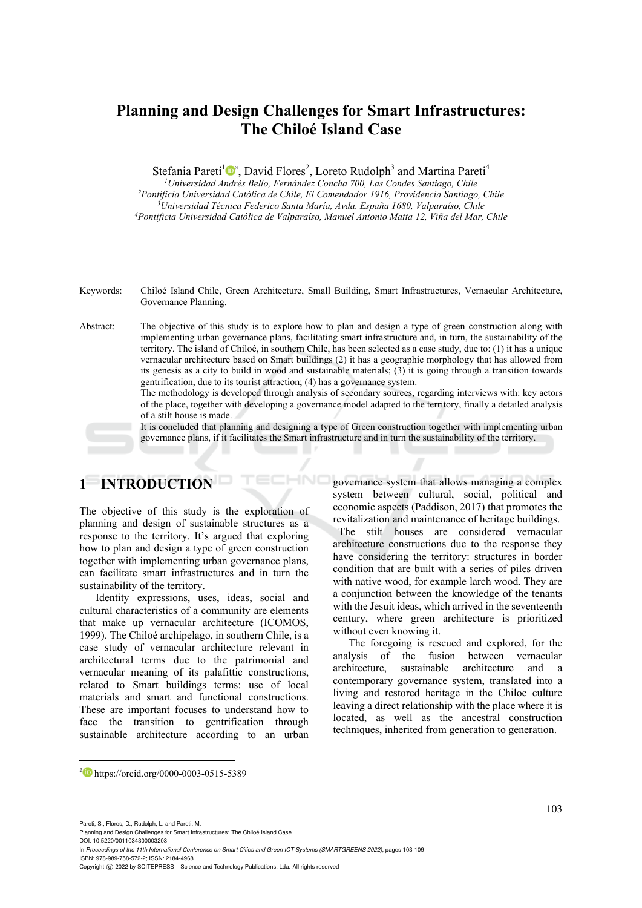## **Planning and Design Challenges for Smart Infrastructures: The Chiloé Island Case**

Stefania Pareti<sup>1</sup><sup>®</sup>, David Flores<sup>2</sup>, Loreto Rudolph<sup>3</sup> and Martina Pareti<sup>4</sup>

<sup>1</sup>Universidad Andrés Bello, Fernández Concha 700, Las Condes Santiago, Chile<br><sup>2</sup>Pontificia Universidad Católica de Chile, El Comendador 1916, Providencia Santiago, Chile<br><sup>3</sup>Universidad Técnica Federico Santa María, Avda. *4Pontificia Universidad Católica de Valparaíso, Manuel Antonio Matta 12, Viña del Mar, Chile*

Keywords: Chiloé Island Chile, Green Architecture, Small Building, Smart Infrastructures, Vernacular Architecture, Governance Planning.

Abstract: The objective of this study is to explore how to plan and design a type of green construction along with implementing urban governance plans, facilitating smart infrastructure and, in turn, the sustainability of the territory. The island of Chiloé, in southern Chile, has been selected as a case study, due to: (1) it has a unique vernacular architecture based on Smart buildings (2) it has a geographic morphology that has allowed from its genesis as a city to build in wood and sustainable materials; (3) it is going through a transition towards gentrification, due to its tourist attraction; (4) has a governance system.

 $\mathbf{r}$ 

HNC

The methodology is developed through analysis of secondary sources, regarding interviews with: key actors of the place, together with developing a governance model adapted to the territory, finally a detailed analysis of a stilt house is made.

It is concluded that planning and designing a type of Green construction together with implementing urban governance plans, if it facilitates the Smart infrastructure and in turn the sustainability of the territory.

# **1 INTRODUCTION**

The objective of this study is the exploration of planning and design of sustainable structures as a response to the territory. It's argued that exploring how to plan and design a type of green construction together with implementing urban governance plans, can facilitate smart infrastructures and in turn the sustainability of the territory.

Identity expressions, uses, ideas, social and cultural characteristics of a community are elements that make up vernacular architecture (ICOMOS, 1999). The Chiloé archipelago, in southern Chile, is a case study of vernacular architecture relevant in architectural terms due to the patrimonial and vernacular meaning of its palafittic constructions, related to Smart buildings terms: use of local materials and smart and functional constructions. These are important focuses to understand how to face the transition to gentrification through sustainable architecture according to an urban

governance system that allows managing a complex system between cultural, social, political and economic aspects (Paddison, 2017) that promotes the revitalization and maintenance of heritage buildings.

 The stilt houses are considered vernacular architecture constructions due to the response they have considering the territory: structures in border condition that are built with a series of piles driven with native wood, for example larch wood. They are a conjunction between the knowledge of the tenants with the Jesuit ideas, which arrived in the seventeenth century, where green architecture is prioritized without even knowing it.

The foregoing is rescued and explored, for the analysis of the fusion between vernacular architecture, sustainable architecture and a contemporary governance system, translated into a living and restored heritage in the Chiloe culture leaving a direct relationship with the place where it is located, as well as the ancestral construction techniques, inherited from generation to generation.

a https://orcid.org/0000-0003-0515-5389

103

Pareti, S., Flores, D., Rudolph, L. and Pareti, M.

DOI: 10.5220/0011034300003203

In *Proceedings of the 11th International Conference on Smart Cities and Green ICT Systems (SMARTGREENS 2022)*, pages 103-109 ISBN: 978-989-758-572-2; ISSN: 2184-4968

Planning and Design Challenges for Smart Infrastructures: The Chiloé Island Case

Copyright (C) 2022 by SCITEPRESS - Science and Technology Publications, Lda. All rights reserved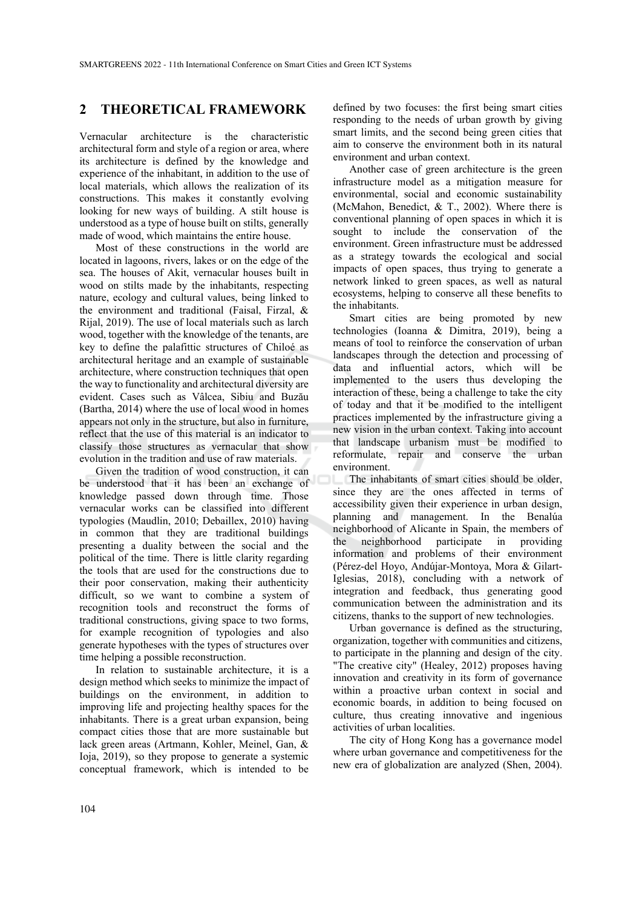#### **2 THEORETICAL FRAMEWORK**

Vernacular architecture is the characteristic architectural form and style of a region or area, where its architecture is defined by the knowledge and experience of the inhabitant, in addition to the use of local materials, which allows the realization of its constructions. This makes it constantly evolving looking for new ways of building. A stilt house is understood as a type of house built on stilts, generally made of wood, which maintains the entire house.

Most of these constructions in the world are located in lagoons, rivers, lakes or on the edge of the sea. The houses of Akit, vernacular houses built in wood on stilts made by the inhabitants, respecting nature, ecology and cultural values, being linked to the environment and traditional (Faisal, Firzal, & Rijal, 2019). The use of local materials such as larch wood, together with the knowledge of the tenants, are key to define the palafittic structures of Chiloé as architectural heritage and an example of sustainable architecture, where construction techniques that open the way to functionality and architectural diversity are evident. Cases such as Vâlcea, Sibiu and Buzău (Bartha, 2014) where the use of local wood in homes appears not only in the structure, but also in furniture, reflect that the use of this material is an indicator to classify those structures as vernacular that show evolution in the tradition and use of raw materials.

Given the tradition of wood construction, it can be understood that it has been an exchange of knowledge passed down through time. Those vernacular works can be classified into different typologies (Maudlin, 2010; Debaillex, 2010) having in common that they are traditional buildings presenting a duality between the social and the political of the time. There is little clarity regarding the tools that are used for the constructions due to their poor conservation, making their authenticity difficult, so we want to combine a system of recognition tools and reconstruct the forms of traditional constructions, giving space to two forms, for example recognition of typologies and also generate hypotheses with the types of structures over time helping a possible reconstruction.

In relation to sustainable architecture, it is a design method which seeks to minimize the impact of buildings on the environment, in addition to improving life and projecting healthy spaces for the inhabitants. There is a great urban expansion, being compact cities those that are more sustainable but lack green areas (Artmann, Kohler, Meinel, Gan, & Ioja, 2019), so they propose to generate a systemic conceptual framework, which is intended to be

defined by two focuses: the first being smart cities responding to the needs of urban growth by giving smart limits, and the second being green cities that aim to conserve the environment both in its natural environment and urban context.

Another case of green architecture is the green infrastructure model as a mitigation measure for environmental, social and economic sustainability (McMahon, Benedict, & T., 2002). Where there is conventional planning of open spaces in which it is sought to include the conservation of the environment. Green infrastructure must be addressed as a strategy towards the ecological and social impacts of open spaces, thus trying to generate a network linked to green spaces, as well as natural ecosystems, helping to conserve all these benefits to the inhabitants.

Smart cities are being promoted by new technologies (Ioanna & Dimitra, 2019), being a means of tool to reinforce the conservation of urban landscapes through the detection and processing of data and influential actors, which will be implemented to the users thus developing the interaction of these, being a challenge to take the city of today and that it be modified to the intelligent practices implemented by the infrastructure giving a new vision in the urban context. Taking into account that landscape urbanism must be modified to reformulate, repair and conserve the urban environment.

The inhabitants of smart cities should be older, since they are the ones affected in terms of accessibility given their experience in urban design, planning and management. In the Benalúa neighborhood of Alicante in Spain, the members of the neighborhood participate in providing information and problems of their environment (Pérez-del Hoyo, Andújar-Montoya, Mora & Gilart-Iglesias, 2018), concluding with a network of integration and feedback, thus generating good communication between the administration and its citizens, thanks to the support of new technologies.

Urban governance is defined as the structuring, organization, together with communities and citizens, to participate in the planning and design of the city. "The creative city" (Healey, 2012) proposes having innovation and creativity in its form of governance within a proactive urban context in social and economic boards, in addition to being focused on culture, thus creating innovative and ingenious activities of urban localities.

The city of Hong Kong has a governance model where urban governance and competitiveness for the new era of globalization are analyzed (Shen, 2004).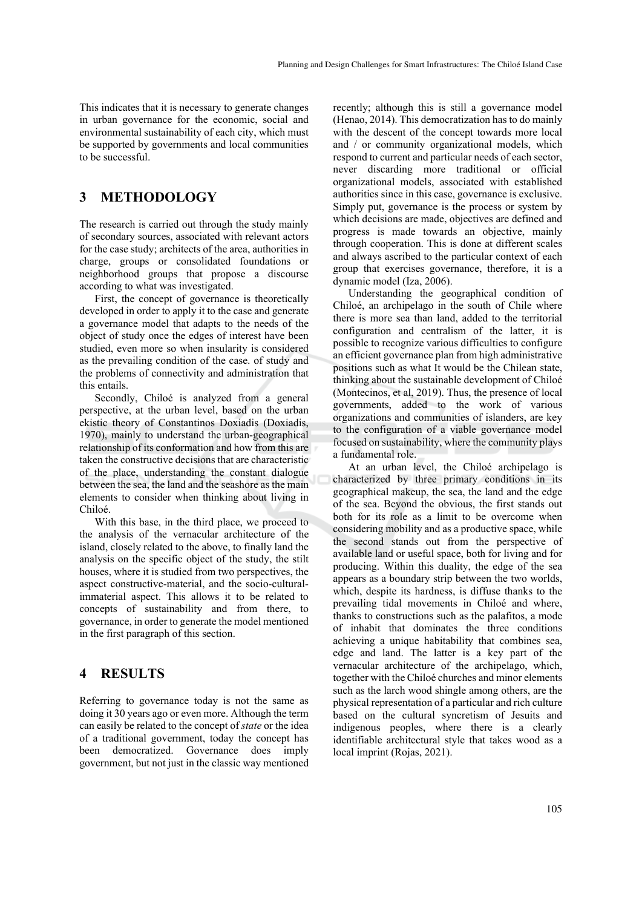This indicates that it is necessary to generate changes in urban governance for the economic, social and environmental sustainability of each city, which must be supported by governments and local communities to be successful.

### **3 METHODOLOGY**

The research is carried out through the study mainly of secondary sources, associated with relevant actors for the case study; architects of the area, authorities in charge, groups or consolidated foundations or neighborhood groups that propose a discourse according to what was investigated.

First, the concept of governance is theoretically developed in order to apply it to the case and generate a governance model that adapts to the needs of the object of study once the edges of interest have been studied, even more so when insularity is considered as the prevailing condition of the case. of study and the problems of connectivity and administration that this entails.

Secondly, Chiloé is analyzed from a general perspective, at the urban level, based on the urban ekistic theory of Constantinos Doxiadis (Doxiadis, 1970), mainly to understand the urban-geographical relationship of its conformation and how from this are taken the constructive decisions that are characteristic of the place, understanding the constant dialogue between the sea, the land and the seashore as the main elements to consider when thinking about living in Chiloé.

With this base, in the third place, we proceed to the analysis of the vernacular architecture of the island, closely related to the above, to finally land the analysis on the specific object of the study, the stilt houses, where it is studied from two perspectives, the aspect constructive-material, and the socio-culturalimmaterial aspect. This allows it to be related to concepts of sustainability and from there, to governance, in order to generate the model mentioned in the first paragraph of this section.

### **4 RESULTS**

Referring to governance today is not the same as doing it 30 years ago or even more. Although the term can easily be related to the concept of *state* or the idea of a traditional government, today the concept has been democratized. Governance does imply government, but not just in the classic way mentioned

recently; although this is still a governance model (Henao, 2014). This democratization has to do mainly with the descent of the concept towards more local and / or community organizational models, which respond to current and particular needs of each sector, never discarding more traditional or official organizational models, associated with established authorities since in this case, governance is exclusive. Simply put, governance is the process or system by which decisions are made, objectives are defined and progress is made towards an objective, mainly through cooperation. This is done at different scales and always ascribed to the particular context of each group that exercises governance, therefore, it is a dynamic model (Iza, 2006).

Understanding the geographical condition of Chiloé, an archipelago in the south of Chile where there is more sea than land, added to the territorial configuration and centralism of the latter, it is possible to recognize various difficulties to configure an efficient governance plan from high administrative positions such as what It would be the Chilean state, thinking about the sustainable development of Chiloé (Montecinos, et al, 2019). Thus, the presence of local governments, added to the work of various organizations and communities of islanders, are key to the configuration of a viable governance model focused on sustainability, where the community plays a fundamental role.

At an urban level, the Chiloé archipelago is characterized by three primary conditions in its geographical makeup, the sea, the land and the edge of the sea. Beyond the obvious, the first stands out both for its role as a limit to be overcome when considering mobility and as a productive space, while the second stands out from the perspective of available land or useful space, both for living and for producing. Within this duality, the edge of the sea appears as a boundary strip between the two worlds, which, despite its hardness, is diffuse thanks to the prevailing tidal movements in Chiloé and where, thanks to constructions such as the palafitos, a mode of inhabit that dominates the three conditions achieving a unique habitability that combines sea, edge and land. The latter is a key part of the vernacular architecture of the archipelago, which, together with the Chiloé churches and minor elements such as the larch wood shingle among others, are the physical representation of a particular and rich culture based on the cultural syncretism of Jesuits and indigenous peoples, where there is a clearly identifiable architectural style that takes wood as a local imprint (Rojas, 2021).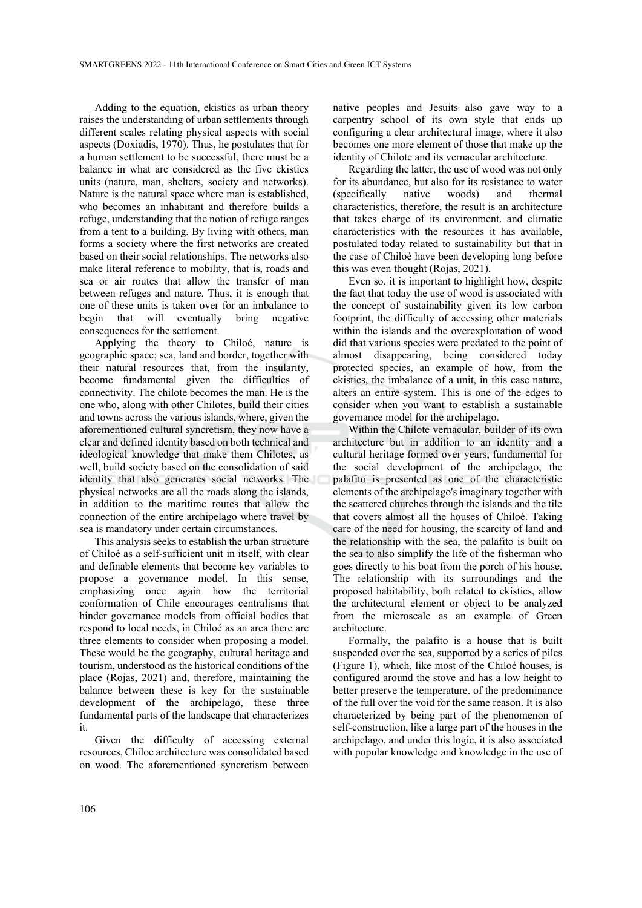Adding to the equation, ekistics as urban theory raises the understanding of urban settlements through different scales relating physical aspects with social aspects (Doxiadis, 1970). Thus, he postulates that for a human settlement to be successful, there must be a balance in what are considered as the five ekistics units (nature, man, shelters, society and networks). Nature is the natural space where man is established, who becomes an inhabitant and therefore builds a refuge, understanding that the notion of refuge ranges from a tent to a building. By living with others, man forms a society where the first networks are created based on their social relationships. The networks also make literal reference to mobility, that is, roads and sea or air routes that allow the transfer of man between refuges and nature. Thus, it is enough that one of these units is taken over for an imbalance to begin that will eventually bring negative consequences for the settlement.

Applying the theory to Chiloé, nature is geographic space; sea, land and border, together with their natural resources that, from the insularity, become fundamental given the difficulties of connectivity. The chilote becomes the man. He is the one who, along with other Chilotes, build their cities and towns across the various islands, where, given the aforementioned cultural syncretism, they now have a clear and defined identity based on both technical and ideological knowledge that make them Chilotes, as well, build society based on the consolidation of said identity that also generates social networks. The physical networks are all the roads along the islands, in addition to the maritime routes that allow the connection of the entire archipelago where travel by sea is mandatory under certain circumstances.

This analysis seeks to establish the urban structure of Chiloé as a self-sufficient unit in itself, with clear and definable elements that become key variables to propose a governance model. In this sense, emphasizing once again how the territorial conformation of Chile encourages centralisms that hinder governance models from official bodies that respond to local needs, in Chiloé as an area there are three elements to consider when proposing a model. These would be the geography, cultural heritage and tourism, understood as the historical conditions of the place (Rojas, 2021) and, therefore, maintaining the balance between these is key for the sustainable development of the archipelago, these three fundamental parts of the landscape that characterizes it.

Given the difficulty of accessing external resources, Chiloe architecture was consolidated based on wood. The aforementioned syncretism between native peoples and Jesuits also gave way to a carpentry school of its own style that ends up configuring a clear architectural image, where it also becomes one more element of those that make up the identity of Chilote and its vernacular architecture.

Regarding the latter, the use of wood was not only for its abundance, but also for its resistance to water (specifically native woods) and thermal characteristics, therefore, the result is an architecture that takes charge of its environment. and climatic characteristics with the resources it has available, postulated today related to sustainability but that in the case of Chiloé have been developing long before this was even thought (Rojas, 2021).

Even so, it is important to highlight how, despite the fact that today the use of wood is associated with the concept of sustainability given its low carbon footprint, the difficulty of accessing other materials within the islands and the overexploitation of wood did that various species were predated to the point of almost disappearing, being considered today protected species, an example of how, from the ekistics, the imbalance of a unit, in this case nature, alters an entire system. This is one of the edges to consider when you want to establish a sustainable governance model for the archipelago.

Within the Chilote vernacular, builder of its own architecture but in addition to an identity and a cultural heritage formed over years, fundamental for the social development of the archipelago, the palafito is presented as one of the characteristic elements of the archipelago's imaginary together with the scattered churches through the islands and the tile that covers almost all the houses of Chiloé. Taking care of the need for housing, the scarcity of land and the relationship with the sea, the palafito is built on the sea to also simplify the life of the fisherman who goes directly to his boat from the porch of his house. The relationship with its surroundings and the proposed habitability, both related to ekistics, allow the architectural element or object to be analyzed from the microscale as an example of Green architecture.

Formally, the palafito is a house that is built suspended over the sea, supported by a series of piles (Figure 1), which, like most of the Chiloé houses, is configured around the stove and has a low height to better preserve the temperature. of the predominance of the full over the void for the same reason. It is also characterized by being part of the phenomenon of self-construction, like a large part of the houses in the archipelago, and under this logic, it is also associated with popular knowledge and knowledge in the use of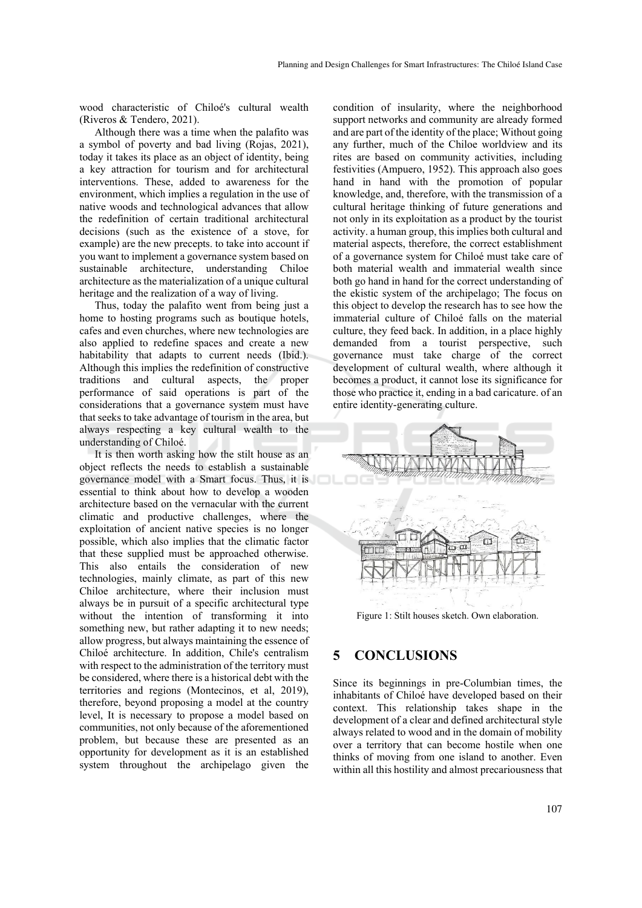wood characteristic of Chiloé's cultural wealth (Riveros & Tendero, 2021).

Although there was a time when the palafito was a symbol of poverty and bad living (Rojas, 2021), today it takes its place as an object of identity, being a key attraction for tourism and for architectural interventions. These, added to awareness for the environment, which implies a regulation in the use of native woods and technological advances that allow the redefinition of certain traditional architectural decisions (such as the existence of a stove, for example) are the new precepts. to take into account if you want to implement a governance system based on sustainable architecture, understanding Chiloe architecture as the materialization of a unique cultural heritage and the realization of a way of living.

Thus, today the palafito went from being just a home to hosting programs such as boutique hotels, cafes and even churches, where new technologies are also applied to redefine spaces and create a new habitability that adapts to current needs (Ibid.). Although this implies the redefinition of constructive traditions and cultural aspects, the proper performance of said operations is part of the considerations that a governance system must have that seeks to take advantage of tourism in the area, but always respecting a key cultural wealth to the understanding of Chiloé.

It is then worth asking how the stilt house as an object reflects the needs to establish a sustainable governance model with a Smart focus. Thus, it is essential to think about how to develop a wooden architecture based on the vernacular with the current climatic and productive challenges, where the exploitation of ancient native species is no longer possible, which also implies that the climatic factor that these supplied must be approached otherwise. This also entails the consideration of new technologies, mainly climate, as part of this new Chiloe architecture, where their inclusion must always be in pursuit of a specific architectural type without the intention of transforming it into something new, but rather adapting it to new needs; allow progress, but always maintaining the essence of Chiloé architecture. In addition, Chile's centralism with respect to the administration of the territory must be considered, where there is a historical debt with the territories and regions (Montecinos, et al, 2019), therefore, beyond proposing a model at the country level, It is necessary to propose a model based on communities, not only because of the aforementioned problem, but because these are presented as an opportunity for development as it is an established system throughout the archipelago given the

condition of insularity, where the neighborhood support networks and community are already formed and are part of the identity of the place; Without going any further, much of the Chiloe worldview and its rites are based on community activities, including festivities (Ampuero, 1952). This approach also goes hand in hand with the promotion of popular knowledge, and, therefore, with the transmission of a cultural heritage thinking of future generations and not only in its exploitation as a product by the tourist activity. a human group, this implies both cultural and material aspects, therefore, the correct establishment of a governance system for Chiloé must take care of both material wealth and immaterial wealth since both go hand in hand for the correct understanding of the ekistic system of the archipelago; The focus on this object to develop the research has to see how the immaterial culture of Chiloé falls on the material culture, they feed back. In addition, in a place highly demanded from a tourist perspective, such governance must take charge of the correct development of cultural wealth, where although it becomes a product, it cannot lose its significance for those who practice it, ending in a bad caricature. of an entire identity-generating culture.



Figure 1: Stilt houses sketch. Own elaboration.

#### **5 CONCLUSIONS**

Since its beginnings in pre-Columbian times, the inhabitants of Chiloé have developed based on their context. This relationship takes shape in the development of a clear and defined architectural style always related to wood and in the domain of mobility over a territory that can become hostile when one thinks of moving from one island to another. Even within all this hostility and almost precariousness that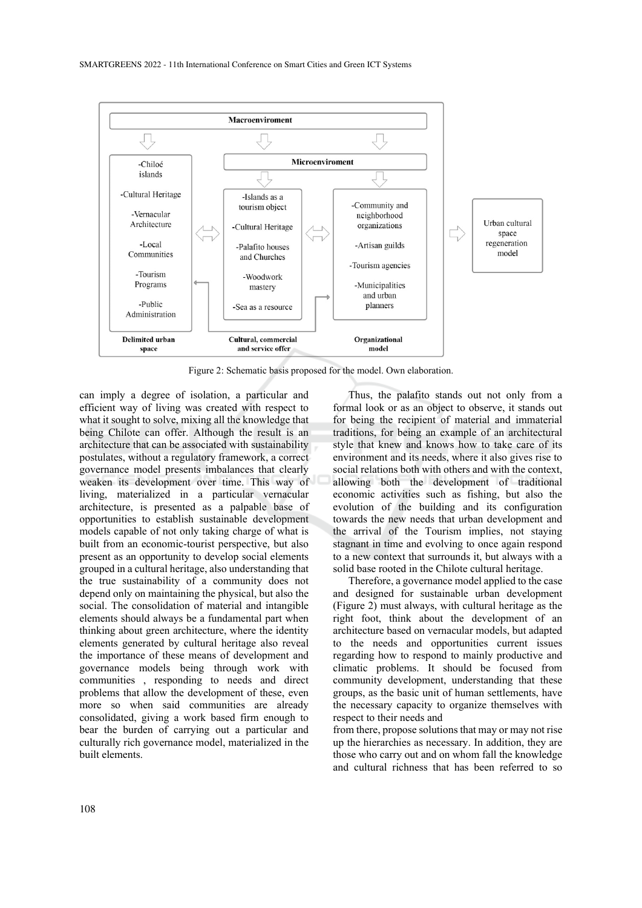

Figure 2: Schematic basis proposed for the model. Own elaboration.

can imply a degree of isolation, a particular and efficient way of living was created with respect to what it sought to solve, mixing all the knowledge that being Chilote can offer. Although the result is an architecture that can be associated with sustainability postulates, without a regulatory framework, a correct governance model presents imbalances that clearly weaken its development over time. This way of living, materialized in a particular vernacular architecture, is presented as a palpable base of opportunities to establish sustainable development models capable of not only taking charge of what is built from an economic-tourist perspective, but also present as an opportunity to develop social elements grouped in a cultural heritage, also understanding that the true sustainability of a community does not depend only on maintaining the physical, but also the social. The consolidation of material and intangible elements should always be a fundamental part when thinking about green architecture, where the identity elements generated by cultural heritage also reveal the importance of these means of development and governance models being through work with communities , responding to needs and direct problems that allow the development of these, even more so when said communities are already consolidated, giving a work based firm enough to bear the burden of carrying out a particular and culturally rich governance model, materialized in the built elements.

Thus, the palafito stands out not only from a formal look or as an object to observe, it stands out for being the recipient of material and immaterial traditions, for being an example of an architectural style that knew and knows how to take care of its environment and its needs, where it also gives rise to social relations both with others and with the context, allowing both the development of traditional economic activities such as fishing, but also the evolution of the building and its configuration towards the new needs that urban development and the arrival of the Tourism implies, not staying stagnant in time and evolving to once again respond to a new context that surrounds it, but always with a solid base rooted in the Chilote cultural heritage.

Therefore, a governance model applied to the case and designed for sustainable urban development (Figure 2) must always, with cultural heritage as the right foot, think about the development of an architecture based on vernacular models, but adapted to the needs and opportunities current issues regarding how to respond to mainly productive and climatic problems. It should be focused from community development, understanding that these groups, as the basic unit of human settlements, have the necessary capacity to organize themselves with respect to their needs and

from there, propose solutions that may or may not rise up the hierarchies as necessary. In addition, they are those who carry out and on whom fall the knowledge and cultural richness that has been referred to so